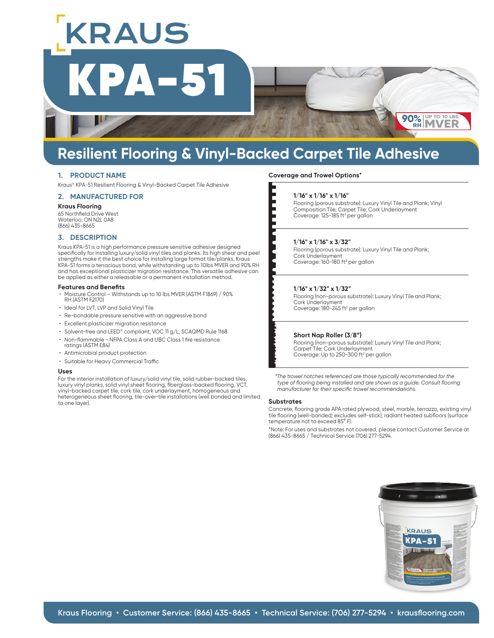## **Resilient Flooring & Vinyl-Backed Carpet Tile Adhesive**

## **1. PRODUCT NAME**

Kraus® KPA-51 Resilient Flooring & Vinyl-Backed Carpet Tile Adhesive

## **2. MANUFACTURED FOR**

#### **Kraus Flooring**

65 Northfield Drive West Waterloo, ON N2L 0A8 (866) 435-8665

## **3. DESCRIPTION**

Kraus KPA-51 is a high performance pressure sensitive adhesive designed specifically for installing luxury/solid vinyl tiles and planks. Its high shear and peel strengths make it the best choice for installing large format tile/planks. Kraus KPA-51 forms a tenacious bond, while withstanding up to 10lbs MVER and 90% RH and has exceptional plasticizer migration resistance. This versatile adhesive can be applied as either a releasable or a permanent installation method.

## **Features and Benefits**

- Moisture Control Withstands up to 10 lbs MVER (ASTM F1869) / 90% RH (ASTM F2170)
- Ideal for LVT, LVP and Solid Vinyl Tile
- Re-bondable pressure sensitive with an aggressive bond
- Excellent plasticizer migration resistance
- Solvent-free and LEED® compliant; VOC 11 g/L, SCAQMD Rule 1168
- Non-flammable NFPA Class A and UBC Class 1 fire resistance
- ratings (ASTM E84)
- Antimicrobial product protection
- Suitable for Heavy Commercial Traffic

#### **Uses**

For the interior installation of luxury/solid vinyl tile, solid rubber-backed tiles, luxury vinyl planks, solid vinyl sheet flooring, fiberglass-backed flooring, VCT, vinyl-backed carpet tile, cork tile, cork underlayment, homogeneous and heterogeneous sheet flooring, tile-over-tile installations (well bonded and limited to one layer).

## **Coverage and Trowel Options\***

Flooring (porous substrate): Luxury Vinyl Tile and Plank; Vinyl Composition Tile; Carpet Tile; Cork Underlayment Coverage: 125-185 ft<sup>2</sup> per gallon

**90% RH**

**UP TO 10 LBS. MVER**

Flooring (porous substrate): Luxury Vinyl Tile and Plank; Cork Underlayment Coverage: 160-180 ft<sup>2</sup> per gallon

## **1/16" x 1/32" x 1/32"**

Flooring (non-porous substrate): Luxury Vinyl Tile and Plank; Cork Underlayment Coverage: 180-245 ft<sup>2</sup> per gallon

## **Short Nap Roller (3/8")**

Flooring (non-porous substrate): Luxury Vinyl Tile and Plank; Carpet Tile; Cork Underlayment Coverage: Up to 250-300 ft<sup>2</sup> per gallon

*\*The trowel notches referenced are those typically recommended for the type of flooring being installed and are shown as a guide. Consult flooring manufacturer for their specific trowel recommendations.*

## **Substrates**

Concrete, flooring grade APA rated plywood, steel, marble, terrazzo, existing vinyl tile flooring (well-bonded; excludes self-stick), radiant heated subfloors (surface temperature not to exceed 85° F).

\*Note: For uses and substrates not covered, please contact Customer Service at (866) 435-8665 / Technical Service (706) 277-5294.





KPA-51 KRAUS